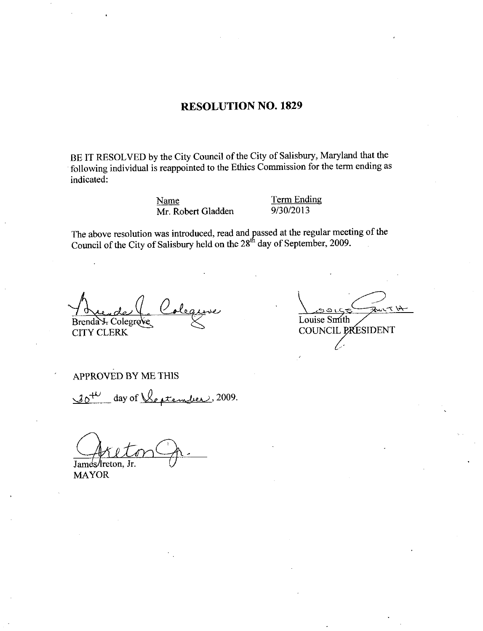## RESOLUTION NO. 1829

BE IT RESOLVED by the City Council of the City of Salisbury, Maryland that the HE IT RESOLVED by the City Council of the City of Sansbury, Maryland that the<br>following individual is reappointed to the Ethics Commission for the term ending as<br>indicated:<br>Mr. Robert Gladden 9/30/2013 indicated the City Council of the City of Salisbury, Maryland that the<br>reappointed to the Ethics Commission for the term ending as<br>solar dame and passed at the regular meeting of the<br>Salisbury held on the 28<sup>th</sup> day of September, 2

Name Term Ending<br>Mr Robert Gladden 9/30/2013

The above resolution was introduced, read and passed at the regular meeting of the Council of the City of Salisbury held on the 28<sup>th</sup> day of September, 2009.

Brenda J. Colegrove Louise Smith<br>CITY CLERK COUNCIL PA Orende 4. Colegaire<br>
endat Colegrove<br>
TY CLERK<br>
PROVED BY ME THIS<br>
o<sup>+1</sup> day of <u>Ventember</u>, ?

COUNCIL PRESIDENT

APPROVED BY ME THIS

2009

James/Ireton, Jr.

MAYOR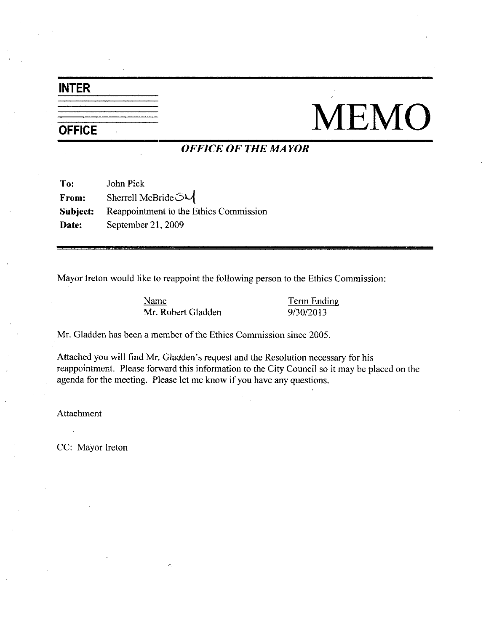# INTER

# $\frac{\overbrace{\mathsf{INTER}}{\overbrace{\mathsf{OFFICE}}}}{\overbrace{\mathsf{OFFICE}}\overbrace{\mathsf{OFFICE}}\overbrace{\mathsf{OFFICE}}\overbrace{\mathsf{OFFIE}~\mathit{MAYOR}}}}\mathsf{MEMO}$

## OFFICE OF THE MAYOR

| To:      | John Pick ·                            |
|----------|----------------------------------------|
| From:    | Sherrell McBride SU                    |
| Subject: | Reappointment to the Ethics Commission |
| Date:    | September 21, 2009                     |

Mayor Ireton would like to reappoint the following person to the Ethics Commission ke to reappoint the following person to the Ethics<br>
Name<br>
Mr. Robert Gladden<br>
9/30/2013

Name Term Ending

Mr. Gladden has been a member of the Ethics Commission since 2005.

Mr. Gladden Mr. Gladden State Commission since 2005.<br>
Mr. Gladden has been a member of the Ethics Commission since 2005.<br>
Attached you will find Mr. Gladden's request and the Resolution necessary for his reappointment. Ple agenda for the meeting. Please let me know if you have any questions.

Attachment

CC: Mayor Ireton